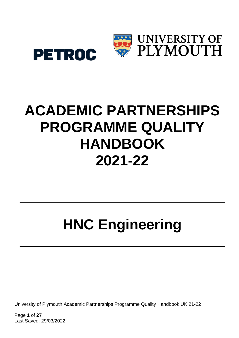

# **ACADEMIC PARTNERSHIPS PROGRAMME QUALITY HANDBOOK 2021-22**

# **HNC Engineering**

University of Plymouth Academic Partnerships Programme Quality Handbook UK 21-22

Page **1** of **27** Last Saved: 29/03/2022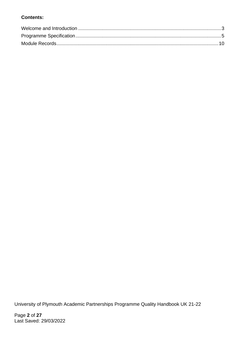#### **Contents:**

University of Plymouth Academic Partnerships Programme Quality Handbook UK 21-22

Page **2** of **27** Last Saved: 29/03/2022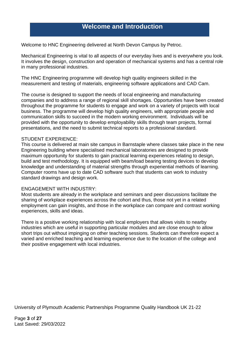### **Welcome and Introduction**

<span id="page-2-0"></span>Welcome to HNC Engineering delivered at North Devon Campus by Petroc.

Mechanical Engineering is vital to all aspects of our everyday lives and is everywhere you look. It involves the design, construction and operation of mechanical systems and has a central role in many professional industries.

The HNC Engineering programme will develop high quality engineers skilled in the measurement and testing of materials, engineering software applications and CAD Cam.

The course is designed to support the needs of local engineering and manufacturing companies and to address a range of regional skill shortages. Opportunities have been created throughout the programme for students to engage and work on a variety of projects with local business. The programme will develop high quality engineers, with appropriate people and communication skills to succeed in the modern working environment. Individuals will be provided with the opportunity to develop employability skills through team projects, formal presentations, and the need to submit technical reports to a professional standard.

#### STUDENT EXPERIENCE:

This course is delivered at main site campus in Barnstaple where classes take place in the new Engineering building where specialised mechanical laboratories are designed to provide maximum opportunity for students to gain practical learning experiences relating to design, build and test methodology. It is equipped with beam/load bearing testing devices to develop knowledge and understanding of material strengths through experiential methods of learning. Computer rooms have up to date CAD software such that students can work to industry standard drawings and design work.

#### ENGAGEMENT WITH INDUSTRY:

Most students are already in the workplace and seminars and peer discussions facilitate the sharing of workplace experiences across the cohort and thus, those not yet in a related employment can gain insights, and those in the workplace can compare and contrast working experiences, skills and ideas.

There is a positive working relationship with local employers that allows visits to nearby industries which are useful in supporting particular modules and are close enough to allow short trips out without impinging on other teaching sessions. Students can therefore expect a varied and enriched teaching and learning experience due to the location of the college and their positive engagement with local industries.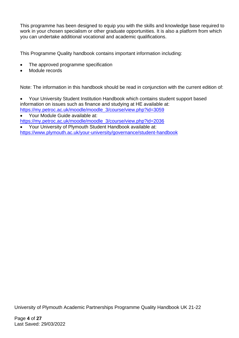This programme has been designed to equip you with the skills and knowledge base required to work in your chosen specialism or other graduate opportunities. It is also a platform from which you can undertake additional vocational and academic qualifications.

This Programme Quality handbook contains important information including:

- The approved programme specification
- Module records

Note: The information in this handbook should be read in conjunction with the current edition of:

- Your University Student Institution Handbook which contains student support based information on issues such as finance and studying at HE available at: [https://my.petroc.ac.uk/moodle/moodle\\_3/course/view.php?id=3059](https://my.petroc.ac.uk/moodle/moodle_3/course/view.php?id=3059)
- Your Module Guide available at: [https://my.petroc.ac.uk/moodle/moodle\\_3/course/view.php?id=2036](https://my.petroc.ac.uk/moodle/moodle_3/course/view.php?id=2036)
- Your University of Plymouth Student Handbook available at: <https://www.plymouth.ac.uk/your-university/governance/student-handbook>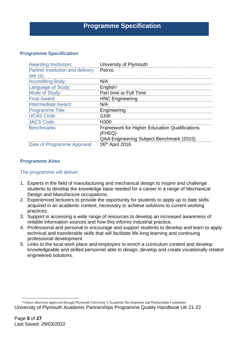# **Programme Specification**

#### <span id="page-4-0"></span>**Programme Specification**

| <b>Awarding Institution:</b>                 | University of Plymouth                                         |
|----------------------------------------------|----------------------------------------------------------------|
| Partner Institution and delivery<br>site(s): | Petroc                                                         |
| <b>Accrediting Body:</b>                     | N/A                                                            |
| Language of Study:                           | English <sup>1</sup>                                           |
| Mode of Study:                               | Part time or Full Time                                         |
| <b>Final Award:</b>                          | <b>HNC Engineering</b>                                         |
| <b>Intermediate Award:</b>                   | N/A                                                            |
| <b>Programme Title:</b>                      | Engineering                                                    |
| <b>UCAS Code:</b>                            | G200                                                           |
| <b>JACS Code:</b>                            | H <sub>300</sub>                                               |
| <b>Benchmarks:</b>                           | <b>Framework for Higher Education Qualifications</b><br>(FHEQ) |
|                                              | QAA Engineering Subject Benchmark (2015)                       |
| Date of Programme Approval:                  | 26th April 2016                                                |

#### **Programme Aims**

#### The programme will deliver:

- 1. Experts in the field of manufacturing and mechanical design to inspire and challenge students to develop the knowledge base needed for a career in a range of Mechanical Design and Manufacture occupations.
- 2. Experienced lecturers to provide the opportunity for students to apply up to date skills acquired in an academic context, necessary to achieve solutions to current working practices.
- 3. Support in accessing a wide range of resources to develop an increased awareness of reliable information sources and how this informs industrial practice.
- 4. Professional and personal to encourage and support students to develop and learn to apply technical and transferable skills that will facilitate life-long learning and continuing professional development
- 5. Links to the local work place and employers to enrich a curriculum content and develop knowledgeable and skilled personnel able to design, develop and create vocationally related engineered solutions.

University of Plymouth Academic Partnerships Programme Quality Handbook UK 21-22 <sup>1</sup> Unless otherwise approved through Plymouth University's Academic Development and Partnerships Committee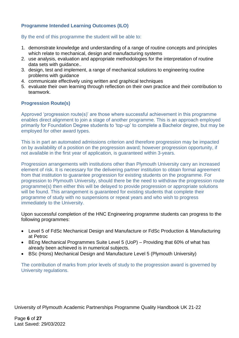#### **Programme Intended Learning Outcomes (ILO)**

By the end of this programme the student will be able to:

- 1. demonstrate knowledge and understanding of a range of routine concepts and principles which relate to mechanical, design and manufacturing systems
- 2. use analysis, evaluation and appropriate methodologies for the interpretation of routine data sets with guidance..
- 3. design, test and implement, a range of mechanical solutions to engineering routine problems with guidance
- 4. communicate effectively using written and graphical techniques
- 5. evaluate their own learning through reflection on their own practice and their contribution to teamwork.

#### **Progression Route(s)**

Approved 'progression route(s)' are those where successful achievement in this programme enables direct alignment to join a stage of another programme. This is an approach employed primarily for Foundation Degree students to 'top-up' to complete a Bachelor degree, but may be employed for other award types.

This is in part an automated admissions criterion and therefore progression may be impacted on by availability of a position on the progression award; however progression opportunity, if not available in the first year of application, is guaranteed within 3-years.

Progression arrangements with institutions other than Plymouth University carry an increased element of risk. It is necessary for the delivering partner institution to obtain formal agreement from that institution to guarantee progression for existing students on the programme. For progression to Plymouth University, should there be the need to withdraw the progression route programme(s) then either this will be delayed to provide progression or appropriate solutions will be found. This arrangement is guaranteed for existing students that complete their programme of study with no suspensions or repeat years and who wish to progress immediately to the University.

Upon successful completion of the HNC Engineering programme students can progress to the following programmes:

- Level 5 of FdSc Mechanical Design and Manufacture or FdSc Production & Manufacturing at Petroc
- BEng Mechanical Programmes Suite Level 5 (UoP) Providing that 60% of what has already been achieved is in numerical subjects.
- BSc (Hons) Mechanical Design and Manufacture Level 5 (Plymouth University)

The contribution of marks from prior levels of study to the progression award is governed by University regulations.

University of Plymouth Academic Partnerships Programme Quality Handbook UK 21-22

Page **6** of **27** Last Saved: 29/03/2022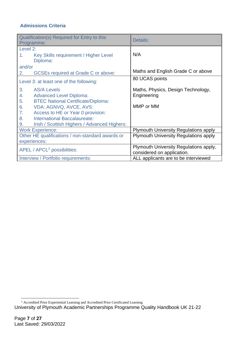#### **Admissions Criteria**

|                                                  | Qualification(s) Required for Entry to this<br>Programme: | Details:                                     |
|--------------------------------------------------|-----------------------------------------------------------|----------------------------------------------|
| Level 2:                                         |                                                           |                                              |
| 1.                                               | Key Skills requirement / Higher Level<br>Diploma:         | N/A                                          |
| and/or                                           |                                                           |                                              |
| 2.                                               | <b>GCSEs required at Grade C or above:</b>                | Maths and English Grade C or above           |
|                                                  | Level 3: at least one of the following:                   | 80 UCAS points                               |
| 3.                                               | <b>AS/A Levels</b>                                        | Maths, Physics, Design Technology,           |
| 4.                                               | <b>Advanced Level Diploma:</b>                            | Engineering                                  |
| 5.                                               | <b>BTEC National Certificate/Diploma:</b>                 |                                              |
| 6.                                               | VDA: AGNVQ, AVCE, AVS:                                    | MMP or MM                                    |
| 7.                                               | Access to HE or Year 0 provision:                         |                                              |
| 8.                                               | International Baccalaureate:                              |                                              |
| 9.                                               | Irish / Scottish Highers / Advanced Highers:              |                                              |
|                                                  | <b>Work Experience:</b>                                   | <b>Plymouth University Regulations apply</b> |
| Other HE qualifications / non-standard awards or |                                                           | <b>Plymouth University Regulations apply</b> |
|                                                  | experiences:                                              |                                              |
| APEL / APCL <sup>2</sup> possibilities:          |                                                           | Plymouth University Regulations apply,       |
|                                                  |                                                           | considered on application.                   |
|                                                  | Interview / Portfolio requirements:                       | ALL applicants are to be interviewed         |

<sup>&</sup>lt;sup>2</sup> Accredited Prior Experiential Learning and Accredited Prior Certificated Learning

University of Plymouth Academic Partnerships Programme Quality Handbook UK 21-22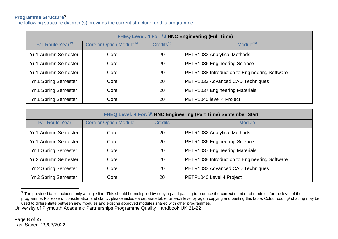#### **Programme Structure<sup>3</sup>**

The following structure diagram(s) provides the current structure for this programme:

| FHEQ Level: 4 For: III HNC Engineering (Full Time) |                                     |                          |                                               |  |  |
|----------------------------------------------------|-------------------------------------|--------------------------|-----------------------------------------------|--|--|
| F/T Route Year <sup>13</sup>                       | Core or Option Module <sup>14</sup> | $C$ redits <sup>15</sup> | Module $16$                                   |  |  |
| <b>Yr 1 Autumn Semester</b>                        | Core                                | 20                       | PETR1032 Analytical Methods                   |  |  |
| <b>Yr 1 Autumn Semester</b>                        | Core                                | 20                       | PETR1036 Engineering Science                  |  |  |
| <b>Yr 1 Autumn Semester</b>                        | Core                                | 20                       | PETR1038 Introduction to Engineering Software |  |  |
| <b>Yr 1 Spring Semester</b>                        | Core                                | 20                       | PETR1033 Advanced CAD Techniques              |  |  |
| <b>Yr 1 Spring Semester</b>                        | Core                                | 20                       | PETR1037 Engineering Materials                |  |  |
| <b>Yr 1 Spring Semester</b>                        | Core                                | 20                       | PETR1040 level 4 Project                      |  |  |

| FHEQ Level: 4 For: \\\ HNC Engineering (Part Time) September Start |                              |                |                                               |  |  |
|--------------------------------------------------------------------|------------------------------|----------------|-----------------------------------------------|--|--|
| <b>P/T Route Year</b>                                              | <b>Core or Option Module</b> | <b>Credits</b> | <b>Module</b>                                 |  |  |
| <b>Yr 1 Autumn Semester</b>                                        | Core                         | 20             | PETR1032 Analytical Methods                   |  |  |
| <b>Yr 1 Autumn Semester</b>                                        | Core                         | 20             | PETR1036 Engineering Science                  |  |  |
| <b>Yr 1 Spring Semester</b>                                        | Core                         | 20             | PETR1037 Engineering Materials                |  |  |
| <b>Yr 2 Autumn Semester</b>                                        | Core                         | 20             | PETR1038 Introduction to Engineering Software |  |  |
| <b>Yr 2 Spring Semester</b>                                        | Core                         | 20             | PETR1033 Advanced CAD Techniques              |  |  |
| <b>Yr 2 Spring Semester</b>                                        | Core                         | 20             | PETR1040 Level 4 Project                      |  |  |

University of Plymouth Academic Partnerships Programme Quality Handbook UK 21-22  $3$  The provided table includes only a single line. This should be multiplied by copying and pasting to produce the correct number of modules for the level of the programme. For ease of consideration and clarity, please include a separate table for each level by again copying and pasting this table. Colour coding/ shading may be used to differentiate between new modules and existing approved modules shared with other programmes.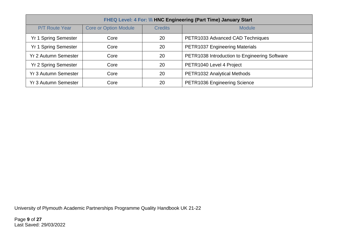| FHEQ Level: 4 For: III HNC Engineering (Part Time) January Start |                                                                 |    |                                               |  |  |
|------------------------------------------------------------------|-----------------------------------------------------------------|----|-----------------------------------------------|--|--|
| <b>P/T Route Year</b>                                            | <b>Core or Option Module</b><br><b>Credits</b><br><b>Module</b> |    |                                               |  |  |
| <b>Yr 1 Spring Semester</b>                                      | Core                                                            | 20 | PETR1033 Advanced CAD Techniques              |  |  |
| <b>Yr 1 Spring Semester</b>                                      | Core                                                            | 20 | <b>PETR1037 Engineering Materials</b>         |  |  |
| <b>Yr 2 Autumn Semester</b>                                      | Core                                                            | 20 | PETR1038 Introduction to Engineering Software |  |  |
| <b>Yr 2 Spring Semester</b>                                      | Core                                                            | 20 | PETR1040 Level 4 Project                      |  |  |
| <b>Yr 3 Autumn Semester</b>                                      | Core                                                            | 20 | PETR1032 Analytical Methods                   |  |  |
| <b>Yr 3 Autumn Semester</b>                                      | Core                                                            | 20 | PETR1036 Engineering Science                  |  |  |

University of Plymouth Academic Partnerships Programme Quality Handbook UK 21-22

Page **9** of **27** Last Saved: 29/03/2022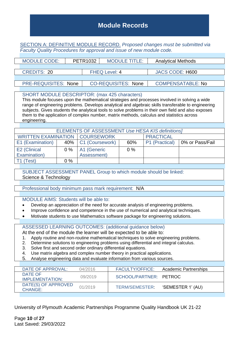## <span id="page-9-0"></span>**Module Records**

SECTION A: DEFINITIVE MODULE RECORD. *Proposed changes must be submitted via Faculty Quality Procedures for approval and issue of new module code.*

|                    | <b>MODULE CODE:</b>         | PETR1032             | <b>MODULE TITLE:</b>       |                 | <b>Analytical Methods</b> |  |
|--------------------|-----------------------------|----------------------|----------------------------|-----------------|---------------------------|--|
|                    |                             |                      |                            |                 |                           |  |
| <b>CREDITS: 20</b> |                             | <b>FHEQ Level: 4</b> |                            | JACS CODE: H600 |                           |  |
|                    |                             |                      |                            |                 |                           |  |
|                    | <b>PRE-REQUISITES: None</b> |                      | <b>CO-REQUISITES: None</b> |                 | <b>COMPENSATABLE: No</b>  |  |

#### SHORT MODULE DESCRIPTOR: (max 425 characters)

This module focuses upon the mathematical strategies and processes involved in solving a wide range of engineering problems. Develops analytical and algebraic skills transferable to engineering subjects. Gives students the analytical tools to solve problems in their own field and also exposes them to the application of complex number, matrix methods, calculus and statistics across engineering.

|                                                             | ELEMENTS OF ASSESSMENT Use HESA KIS definitions] |                              |       |                |                 |  |  |
|-------------------------------------------------------------|--------------------------------------------------|------------------------------|-------|----------------|-----------------|--|--|
| <b>WRITTEN EXAMINATION   COURSEWORK</b><br><b>PRACTICAL</b> |                                                  |                              |       |                |                 |  |  |
| E1 (Examination)                                            |                                                  | 40%   C1 (Coursework)<br>60% |       | P1 (Practical) | 0% or Pass/Fail |  |  |
| E2 (Clinical                                                | 0 %                                              | A1 (Generic                  | $0\%$ |                |                 |  |  |
| Examination)                                                |                                                  | Assessment)                  |       |                |                 |  |  |
| (Test                                                       | $0\%$                                            |                              |       |                |                 |  |  |

SUBJECT ASSESSMENT PANEL Group to which module should be linked: Science & Technology

Professional body minimum pass mark requirement: N/A

MODULE AIMS: Students will be able to:

- Develop an appreciation of the need for accurate analysis of engineering problems.
- Improve confidence and competence in the use of numerical and analytical techniques.
- Motivate students to use Mathematics software package for engineering solutions.

#### ASSESSED LEARNING OUTCOMES: (additional guidance below)

At the end of the module the learner will be expected to be able to:

- 1. Apply routine and non-routine mathematical techniques to solve engineering problems.
- 2. Determine solutions to engineering problems using differential and integral calculus.
- 3. Solve first and second order ordinary differential equations.
- 4. Use matrix algebra and complex number theory in practical applications.
- 5. Analyse engineering data and evaluate information from various sources.

| DATE OF APPROVAL:      | 04/2016 | <b>FACULTY/OFFICE:</b> | Academic Partnerships |
|------------------------|---------|------------------------|-----------------------|
|                        |         |                        |                       |
| DATE OF                | 09/2019 | SCHOOL/PARTNER: PETROC |                       |
| <b>IMPI EMENTATION</b> |         |                        |                       |
| DATE(S) OF APPROVED    |         |                        |                       |
|                        | 01/2019 | TERM/SEMESTER          | 'SEMESTER 1' (AU)     |
| <b>CHANGE:</b>         |         |                        |                       |
|                        |         |                        |                       |

University of Plymouth Academic Partnerships Programme Quality Handbook UK 21-22

Page **10** of **27** Last Saved: 29/03/2022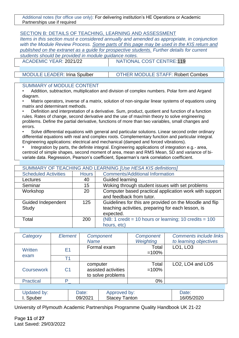Additional notes (for office use only): For delivering institution's HE Operations or Academic Partnerships use if required

#### SECTION B: DETAILS OF TEACHING, LEARNING AND ASSESSMENT

*Items in this section must e considered annually and amended as appropriate, in conjunction with the Module Review Process. Some parts of this page may be used in the KIS return and published on the extranet as a guide for prospective students. Further details for current students should be provided in module guidance notes.*

ACADEMIC YEAR: 2021/22 NATIONAL COST CENTRE:119

MODULE LEADER: Irina Spulber | OTHER MODULE STAFF: Robert Combes

#### SUMMARY of MODULE CONTENT

• Addition, subtraction, multiplication and division of complex numbers. Polar form and Argand diagram.

• Matrix operators, inverse of a matrix, solution of non-singular linear systems of equations using matrix and determinant methods.

• Definition and interpretation of a derivative. Sum, product, quotient and function of a function rules. Rates of change, second derivative and the use of max/min theory to solve engineering problems. Define the partial derivative, functions of more than two variables, small changes and errors.

• Solve differential equations with general and particular solutions. Linear second order ordinary differential equations with real and complex roots. Complementary function and particular integral. Engineering applications: electrical and mechanical (damped and forced vibrations).

Integration by parts, the definite integral. Engineering applications of integration e.g.- area, centroid of simple shapes, second moment of area, mean and RMS Mean, SD and variance of bivariate data. Regression, Pearson's coefficient, Spearman's rank correlation coefficient.

| SUMMARY OF TEACHING AND LEARNING [Use HESA KIS definitions] |              |                                                          |  |  |
|-------------------------------------------------------------|--------------|----------------------------------------------------------|--|--|
| <b>Scheduled Activities</b>                                 | <b>Hours</b> | <b>Comments/Additional Information</b>                   |  |  |
| Lectures                                                    | 40           | Guided learning                                          |  |  |
| Seminar                                                     | 15           | Woking through student issues with set problems          |  |  |
| Workshop                                                    | 20           | Computer based practical application work with support   |  |  |
|                                                             |              | and feedback from tutor.                                 |  |  |
| <b>Guided Independent</b>                                   | 125          | Guidelines for this are provided on the Moodle and flip  |  |  |
| Study                                                       |              | teaching activities, preparing for each lesson, is       |  |  |
|                                                             |              | expected.                                                |  |  |
| Total                                                       | <b>200</b>   | (NB: 1 credit = 10 hours or learning; 10 credits = $100$ |  |  |
|                                                             |              | hours, etc)                                              |  |  |

| Category          | Element        | Component           | Component | <b>Comments include links</b>                         |
|-------------------|----------------|---------------------|-----------|-------------------------------------------------------|
|                   |                | <b>Name</b>         | Weighting | to learning objectives                                |
| <b>Written</b>    | E <sub>1</sub> | Formal exam         | Total     | LO1, LO3                                              |
|                   |                |                     | $=100%$   |                                                       |
| exam              | T1             |                     |           |                                                       |
|                   |                | computer            | Total     | LO <sub>2</sub> , LO <sub>4</sub> and LO <sub>5</sub> |
| <b>Coursework</b> | C <sub>1</sub> | assisted activities | $=100%$   |                                                       |
|                   |                | to solve problems   |           |                                                       |
| <b>Practical</b>  | Þ              |                     | 0%        |                                                       |
|                   |                |                     |           |                                                       |

| Updated by:      | Date:   | Approved by:                  | Date:      |
|------------------|---------|-------------------------------|------------|
| <b>I.</b> Spuber | 09/2021 | Stacey <sup>-</sup><br>Tanton | 16/05/2020 |

University of Plymouth Academic Partnerships Programme Quality Handbook UK 21-22

Page **11** of **27** Last Saved: 29/03/2022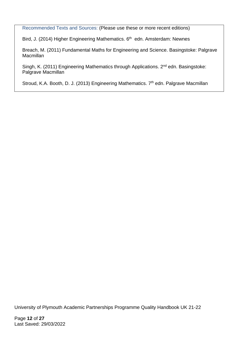Recommended Texts and Sources: (Please use these or more recent editions)

Bird, J. (2014) Higher Engineering Mathematics. 6<sup>th</sup> edn. Amsterdam: Newnes

Breach, M. (2011) Fundamental Maths for Engineering and Science. Basingstoke: Palgrave Macmillan

Singh, K. (2011) Engineering Mathematics through Applications. 2<sup>nd</sup> edn. Basingstoke: Palgrave Macmillan

Stroud, K.A. Booth, D. J. (2013) Engineering Mathematics. 7<sup>th</sup> edn. Palgrave Macmillan

University of Plymouth Academic Partnerships Programme Quality Handbook UK 21-22

Page **12** of **27** Last Saved: 29/03/2022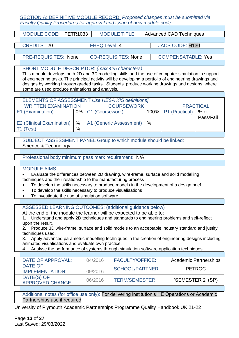#### SECTION A: DEFINITIVE MODULE RECORD. *Proposed changes must be submitted via Faculty Quality Procedures for approval and issue of new module code.*

| <b>MODULE TITLE:</b>       | <b>Advanced CAD Techniques</b> |
|----------------------------|--------------------------------|
|                            |                                |
| <b>FHEQ Level: 4</b>       | <b>JACS CODE: H130</b>         |
|                            |                                |
| <b>CO-REQUISITES: None</b> | <b>COMPENSATABLE: Yes</b>      |
|                            | MODULE CODE: PETR1033          |

SHORT MODULE DESCRIPTOR: *(max 425 characters)*

This module develops both 2D and 3D modelling skills and the use of computer simulation in support of engineering tasks. The principal activity will be developing a portfolio of engineering drawings and designs by working through graded tasks. Students' produce working drawings and designs, where some are used produce animations and analysis.

| <b>ELEMENTS OF ASSESSMENT Use HESA KIS definitions]</b> |      |                         |   |                          |           |  |
|---------------------------------------------------------|------|-------------------------|---|--------------------------|-----------|--|
| <b>WRITTEN EXAMINATION</b>                              |      | <b>COURSEWORK</b>       |   | <b>PRACTICAL</b>         |           |  |
| E1 (Examination)                                        |      | 0% C1 (Coursework)      |   | $100\%$   P1 (Practical) | $%$ or    |  |
|                                                         |      |                         |   |                          | Pass/Fail |  |
| <b>E2 (Clinical Examination)</b>                        | $\%$ | A1 (Generic Assessment) | % |                          |           |  |
| Test)                                                   | %    |                         |   |                          |           |  |

SUBJECT ASSESSMENT PANEL Group to which module should be linked: Science & Technology

Professional body minimum pass mark requirement: N/A

#### MODULE AIMS:

• Evaluate the differences between 2D drawing, wire-frame, surface and solid modelling techniques and their relationship to the manufacturing process

- To develop the skills necessary to produce models in the development of a design brief
- To develop the skills necessary to produce visualisations
- To investigate the use of simulation software

ASSESSED LEARNING OUTCOMES: (additional guidance below)

At the end of the module the learner will be expected to be able to:

1. Understand and apply 2D techniques and standards to engineering problems and self-reflect upon the result.

2. Produce 3D wire-frame, surface and solid models to an acceptable industry standard and justify techniques used.

3. Apply advanced parametric modelling techniques in the creation of engineering designs including animated visualisations and evaluate own practice.

4. Analyse the performance of systems through simulation software application techniques.

| DATE OF APPROVAL:                     | 04/2016 | <b>FACULTY/OFFICE:</b> | <b>Academic Partnerships</b> |
|---------------------------------------|---------|------------------------|------------------------------|
| DATE OF<br><b>IMPLEMENTATION:</b>     | 09/2016 | <b>SCHOOL/PARTNER:</b> | PFTROC                       |
| DATE(S) OF<br><b>APPROVED CHANGE:</b> | 06/2016 | TERM/SEMESTER:         | 'SEMESTER 2' (SP)            |
|                                       |         |                        |                              |

Additional notes (for office use only): For delivering institution's HE Operations or Academic Partnerships use if required

University of Plymouth Academic Partnerships Programme Quality Handbook UK 21-22

Page **13** of **27** Last Saved: 29/03/2022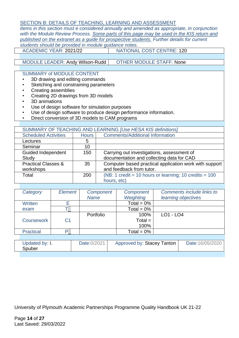#### SECTION B: DETAILS OF TEACHING, LEARNING AND ASSESSMENT

*Items in this section must e considered annually and amended as appropriate, in conjunction with the Module Review Process. Some parts of this page may be used in the KIS return and published on the extranet as a guide for prospective students. Further details for current students should be provided in module guidance notes.*

ACADEMIC YEAR: 2021/22 NATIONAL COST CENTRE: 120

#### MODULE LEADER: Andy Wilson-Rudd | OTHER MODULE STAFF: None

#### SUMMARY of MODULE CONTENT

- 3D drawing and editing commands
- Sketching and constraining parameters
- Creating assemblies
- Creating 2D drawings from 3D models
- 3D animations
- Use of design software for simulation purposes
- Use of design software to produce design performance information.
- Direct conversion of 3D models to CAM programs

| SUMMARY OF TEACHING AND LEARNING [Use HESA KIS definitions] |              |                                                          |  |  |  |
|-------------------------------------------------------------|--------------|----------------------------------------------------------|--|--|--|
| <b>Scheduled Activities</b>                                 | <b>Hours</b> | <b>Comments/Additional Information</b>                   |  |  |  |
| Lectures                                                    | 5            |                                                          |  |  |  |
| Seminar                                                     | 10           |                                                          |  |  |  |
| <b>Guided Independent</b>                                   | 150          | Carrying out investigations, assessment of               |  |  |  |
| <b>Study</b>                                                |              | documentation and collecting data for CAD                |  |  |  |
| <b>Practical Classes &amp;</b>                              | 35           | Computer based practical application work with support   |  |  |  |
| workshops                                                   |              | and feedback from tutor.                                 |  |  |  |
| Total                                                       | 200          | (NB: 1 credit = 10 hours or learning; 10 credits = $100$ |  |  |  |
|                                                             |              | hours, etc)                                              |  |  |  |

| Category          | Element        | Component<br><b>Name</b> | Component<br>Weighting | Comments include links to<br>learning objectives |
|-------------------|----------------|--------------------------|------------------------|--------------------------------------------------|
| Written           |                |                          | Total = $0\%$          |                                                  |
| exam              |                |                          | Total = $0\%$          |                                                  |
|                   |                | Portfolio                | 100%                   | $LO1 - LO4$                                      |
| <b>Coursework</b> | C <sub>1</sub> |                          | $Total =$              |                                                  |
|                   |                |                          | 100%                   |                                                  |
| <b>Practical</b>  | P.             |                          | Total = $0\%$          |                                                  |

|  | Updated by: I.<br>Spuber | Date:0/2021 | Approved by: Stacey Tanton | Date:16/05/2020 |
|--|--------------------------|-------------|----------------------------|-----------------|
|--|--------------------------|-------------|----------------------------|-----------------|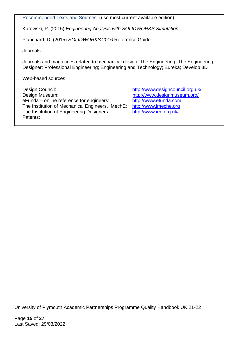Recommended Texts and Sources: (use most current available edition)

Kurowski, P. (2015) *Engineering Analysis with SOLIDWORKS Simulation*.

Planchard, D. (2015) *SOLIDWORKS* 2016 Reference Guide.

**Journals** 

Journals and magazines related to mechanical design: The Engineering; The Engineering Designer; Professional Engineering; Engineering and Technology; Eureka; Develop 3D

Web-based sources

Design Council: <http://www.designcouncil.org.uk/> Design Museum: <http://www.designmuseum.org/> eFunda – online reference for engineers: [http://www.efunda.com](http://www.efunda.com/) The Institution of Mechanical Engineers, IMechE: [http://www.imeche.org](http://www.imeche.org/) The Institution of Engineering Designers: <http://www.ied.org.uk/> Patents:

University of Plymouth Academic Partnerships Programme Quality Handbook UK 21-22

Page **15** of **27** Last Saved: 29/03/2022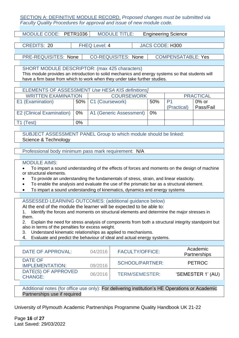#### SECTION A: DEFINITIVE MODULE RECORD. *Proposed changes must be submitted via Faculty Quality Procedures for approval and issue of new module code.*

| MODULE CODE: PETR1036       | <b>MODULE TITLE:</b>       | <b>Engineering Science</b> |
|-----------------------------|----------------------------|----------------------------|
|                             |                            |                            |
| <b>CREDITS: 20</b>          | <b>FHEQ Level: 4</b>       | <b>JACS CODE: H300</b>     |
|                             |                            |                            |
| <b>PRE-REQUISITES: None</b> | <b>CO-REQUISITES: None</b> | <b>COMPENSATABLE: Yes</b>  |
|                             |                            |                            |

SHORT MODULE DESCRIPTOR: (max 425 characters) This module provides an introduction to solid mechanics and energy systems so that students will have a firm base from which to work when they under take further studies.

| <b>ELEMENTS OF ASSESSMENT Use HESA KIS definitions]</b> |    |                         |     |                  |           |  |
|---------------------------------------------------------|----|-------------------------|-----|------------------|-----------|--|
| <b>WRITTEN EXAMINATION</b>                              |    | <b>COURSEWORK</b>       |     | <b>PRACTICAL</b> |           |  |
| E1 (Examination)                                        |    | 50%   C1 (Coursework)   | 50% |                  | $0\%$ or  |  |
|                                                         |    |                         |     | (Practical)      | Pass/Fail |  |
| E2 (Clinical Examination)   0%                          |    | A1 (Generic Assessment) | 0%  |                  |           |  |
|                                                         |    |                         |     |                  |           |  |
| `est)                                                   | 0% |                         |     |                  |           |  |

SUBJECT ASSESSMENT PANEL Group to which module should be linked: Science & Technology

Professional body minimum pass mark requirement: N/A

#### MODULE AIMS:

• To impart a sound understanding of the effects of forces and moments on the design of machine or structural elements.

- To provide an understanding the fundamentals of stress, strain, and linear elasticity.
- To enable the analysis and evaluate the use of the prismatic bar as a structural element.
- To impart a sound understanding of kinematics, dynamics and energy systems

ASSESSED LEARNING OUTCOMES: (additional guidance below)

At the end of the module the learner will be expected to be able to:

1. Identify the forces and moments on structural elements and determine the major stresses in them.

2. Explain the need for stress analysis of components from both a structural integrity standpoint but also in terms of the penalties for excess weight.

- 3. Understand kinematic relationships as applied to mechanisms.
- 4. Evaluate and predict the behaviour of ideal and actual energy systems.

| DATE OF APPROVAL:                     | 04/2016 | <b>FACULTY/OFFICE:</b> | Academic<br>Partnerships |
|---------------------------------------|---------|------------------------|--------------------------|
| DATE OF<br>IMPLEMENTATION:            | 09/2016 | SCHOOL/PARTNER:        | <b>PETROC</b>            |
| DATE(S) OF APPROVED<br><b>CHANGE:</b> | 06/2016 | <b>TERM/SEMESTER:</b>  | 'SEMESTER 1' (AU)        |

Additional notes (for office use only): For delivering institution's HE Operations or Academic Partnerships use if required

University of Plymouth Academic Partnerships Programme Quality Handbook UK 21-22

Page **16** of **27** Last Saved: 29/03/2022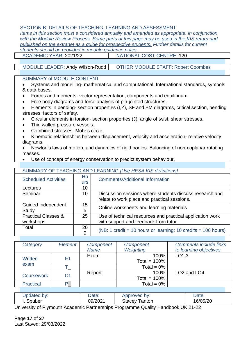#### SECTION B: DETAILS OF TEACHING, LEARNING AND ASSESSMENT

*Items in this section must e considered annually and amended as appropriate, in conjunction with the Module Review Process. Some parts of this page may be used in the KIS return and published on the extranet as a guide for prospective students. Further details for current students should be provided in module guidance notes.* ACADEMIC YEAR: 2021/22 NATIONAL COST CENTRE: 120

MODULE LEADER: Andy Wilson-Rudd | OTHER MODULE STAFF: Robert Coombes

#### SUMMARY of MODULE CONTENT

• Systems and modelling- mathematical and computational. International standards, symbols & data bases.

- Forces and moments- vector representation, components and equilibrium.
- Free body diagrams and force analysis of pin-jointed structures.
- Elements in bending- section properties (I,Z), SF and BM diagrams, critical section, bending stresses, factors of safety.
- Circular elements in torsion- section properties (J), angle of twist, shear stresses.
- Thin walled pressure vessels.
- Combined stresses- Mohr's circle.
- Kinematic relationships between displacement, velocity and acceleration- relative velocity diagrams.
- Newton's laws of motion, and dynamics of rigid bodies. Balancing of non-coplanar rotating masses.
- Use of concept of energy conservation to predict system behaviour.

| SUMMARY OF TEACHING AND LEARNING <i>[Use HESA KIS definitions]</i> |                  |                                                               |  |  |
|--------------------------------------------------------------------|------------------|---------------------------------------------------------------|--|--|
| <b>Scheduled Activities</b>                                        | Ho<br><b>urs</b> | <b>Comments/Additional Information</b>                        |  |  |
| Lectures                                                           | 10               |                                                               |  |  |
| Seminar                                                            | 10               | Discussion sessions where students discuss research and       |  |  |
|                                                                    |                  | relate to work place and practical sessions.                  |  |  |
| Guided Independent                                                 | 15               | Online worksheets and learning materials                      |  |  |
| Study                                                              | 5                |                                                               |  |  |
| <b>Practical Classes &amp;</b>                                     | 25               | Use of technical resources and practical application work     |  |  |
| workshops                                                          |                  | with support and feedback from tutor.                         |  |  |
| Total                                                              | 20               | (NB: 1 credit = 10 hours or learning; 10 credits = 100 hours) |  |  |
|                                                                    | 0                |                                                               |  |  |

| Category                                 | Element        | Component<br><b>Name</b> | Component<br>Weighting  | <b>Comments include links</b><br>to learning objectives |
|------------------------------------------|----------------|--------------------------|-------------------------|---------------------------------------------------------|
| E <sub>1</sub><br><b>Written</b><br>exam |                | Exam                     | 100%<br>Total = $100\%$ | LO1.3                                                   |
|                                          |                |                          | Total = $0\%$           |                                                         |
| <b>Coursework</b>                        | C <sub>1</sub> | Report                   | 100%<br>Total = $100\%$ | LO <sub>2</sub> and LO <sub>4</sub>                     |
| <b>Practical</b>                         | D              |                          | Total = $0\%$           |                                                         |

| Jpdated by: | Date:   | Approved by:                 | Date:    |
|-------------|---------|------------------------------|----------|
| Spuber      | 09/2021 | Stacey<br><sup>-</sup> anton | 16/05/20 |

University of Plymouth Academic Partnerships Programme Quality Handbook UK 21-22

Page **17** of **27** Last Saved: 29/03/2022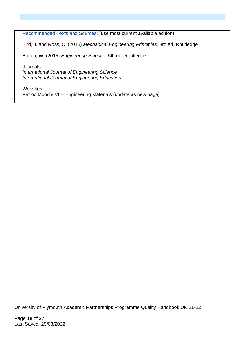Recommended Texts and Sources: (use most current available edition)

Bird, J. and Ross, C. (2015) *Mechanical Engineering Principles*. 3rd ed. Routledge

Bolton, W. (2015) *Engineering Science*. 5th ed. Routledge

Journals: *International Journal of Engineering Science International Journal of Engineering Education*

Websites: Petroc Moodle VLE Engineering Materials (update as new page)

University of Plymouth Academic Partnerships Programme Quality Handbook UK 21-22

Page **18** of **27** Last Saved: 29/03/2022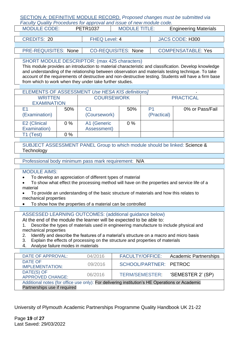#### SECTION A: DEFINITIVE MODULE RECORD. *Proposed changes must be submitted via Faculty Quality Procedures for approval and issue of new module code.*

| <b>MODULE CODE:</b>         | <b>PETR1037</b>      | <b>MODULE TITLE:</b>       | <b>Engineering Materials</b> |  |  |
|-----------------------------|----------------------|----------------------------|------------------------------|--|--|
|                             |                      |                            |                              |  |  |
| <b>CREDITS: 20</b>          | <b>FHEQ Level: 4</b> |                            | JACS CODE: H300              |  |  |
|                             |                      |                            |                              |  |  |
| <b>PRE-REQUISITES: None</b> |                      | <b>CO-REQUISITES: None</b> | <b>COMPENSATABLE: Yes</b>    |  |  |

#### SHORT MODULE DESCRIPTOR: (max 425 characters)

This module provides an introduction to material characteristic and classification. Develop knowledge and understanding of the relationship between observation and materials testing technique. To take account of the requirements of destructive and non-destructive testing. Students will have a firm base from which to work when they under take further studies.

| ELEMENTS OF ASSESSMENT Use HESA KIS definitions] |       |                   |       |                  |                 |  |  |
|--------------------------------------------------|-------|-------------------|-------|------------------|-----------------|--|--|
| <b>WRITTEN</b>                                   |       | <b>COURSEWORK</b> |       | <b>PRACTICAL</b> |                 |  |  |
| <b>EXAMINATION</b>                               |       |                   |       |                  |                 |  |  |
| F1                                               | 50%   | C <sub>1</sub>    | 50%   | P1               | 0% or Pass/Fail |  |  |
| (Examination)                                    |       | (Coursework)      |       | (Practical)      |                 |  |  |
| E2 (Clinical                                     | $0\%$ | A1 (Generic       | $0\%$ |                  |                 |  |  |
| Examination)                                     |       | Assessment)       |       |                  |                 |  |  |
| T1 (Test)                                        | $0\%$ |                   |       |                  |                 |  |  |

SUBJECT ASSESSMENT PANEL Group to which module should be linked: Science & **Technology** 

Professional body minimum pass mark requirement: N/A

#### MODULE AIMS:

- To develop an appreciation of different types of material
- To show what effect the processing method will have on the properties and service life of a material
- To provide an understanding of the basic structure of materials and how this relates to mechanical properties
- To show how the properties of a material can be controlled

ASSESSED LEARNING OUTCOMES: (additional guidance below)

At the end of the module the learner will be expected to be able to:

1. Describe the types of materials used in engineering manufacture to include physical and mechanical properties

- 2. Identify and describe the features of a material's structure on a macro and micro basis
- 3. Explain the effects of processing on the structure and properties of materials
- 4. Analyse failure modes in materials

| DATE OF APPROVAL:                                                                                                              | 04/2016 | <b>FACULTY/OFFICE:</b> | <b>Academic Partnerships</b> |
|--------------------------------------------------------------------------------------------------------------------------------|---------|------------------------|------------------------------|
| DATE OF<br><b>IMPLEMENTATION:</b>                                                                                              | 09/2016 | SCHOOL/PARTNER: PETROC |                              |
| DATE(S) OF<br><b>APPROVED CHANGE:</b>                                                                                          | 06/2016 | TERM/SEMESTER:         | 'SEMESTER 2' (SP)            |
| Additional notes (for office use only): For delivering institution's HE Operations or Academic<br>Partnerships use if required |         |                        |                              |

University of Plymouth Academic Partnerships Programme Quality Handbook UK 21-22

Page **19** of **27** Last Saved: 29/03/2022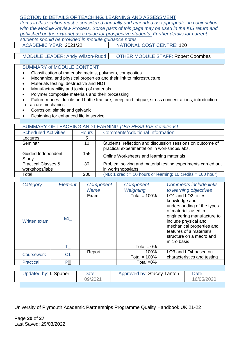#### SECTION B: DETAILS OF TEACHING, LEARNING AND ASSESSMENT

*Items in this section must e considered annually and amended as appropriate, in conjunction with the Module Review Process. Some parts of this page may be used in the KIS return and published on the extranet as a guide for prospective students. Further details for current students should be provided in module guidance notes.*

ACADEMIC YEAR: 2021/22 | NATIONAL COST CENTRE: 120

#### MODULE LEADER: Andy Wilson-Rudd | OTHER MODULE STAFF: Robert Coombes

SUMMARY of MODULE CONTENT

- Classification of materials: metals, polymers, composites
- Mechanical and physical properties and their link to microstructure
- Materials testing: destructive and NDT
- Manufacturability and joining of materials
- Polymer composite materials and their processing
- Failure modes: ductile and brittle fracture, creep and fatigue, stress concentrations, introduction to fracture mechanics.
- Corrosion: simple and galvanic
- Designing for enhanced life in service

|                                | SUMMARY OF TEACHING AND LEARNING [Use HESA KIS definitions] |                                                              |  |  |  |  |
|--------------------------------|-------------------------------------------------------------|--------------------------------------------------------------|--|--|--|--|
| <b>Scheduled Activities</b>    | <b>Hours</b>                                                | <b>Comments/Additional Information</b>                       |  |  |  |  |
| Lectures                       | 5                                                           |                                                              |  |  |  |  |
| Seminar                        | 10                                                          | Students' reflection and discussion sessions on outcome of   |  |  |  |  |
|                                |                                                             | practical experimentation in workshops/labs.                 |  |  |  |  |
| Guided Independent             | 155                                                         | Online Worksheets and learning materials                     |  |  |  |  |
| Study                          |                                                             |                                                              |  |  |  |  |
| <b>Practical Classes &amp;</b> | 30                                                          | Problem solving and material testing experiments carried out |  |  |  |  |
| workshops/labs                 |                                                             | in workshops/labs                                            |  |  |  |  |
| Total                          | 200                                                         | (NB: 1 credit = 10 hours or learning; 10 credits = 100 hour) |  |  |  |  |

| Category              | <b>Element</b> | Component        | Component                  |                              | <b>Comments include links</b>                                                                                                                                                                                        |
|-----------------------|----------------|------------------|----------------------------|------------------------------|----------------------------------------------------------------------------------------------------------------------------------------------------------------------------------------------------------------------|
|                       |                | Name             | Weighting                  |                              | to learning objectives                                                                                                                                                                                               |
| Written exam          | E1             | Exam             | Total = $100\%$            | knowledge and<br>micro basis | LO1 and LO2 to test<br>understanding of the types<br>of materials used in<br>engineering manufacture to<br>include physical and<br>mechanical properties and<br>features of a material's<br>structure on a macro and |
|                       | T.             |                  | Total = $0\%$              |                              |                                                                                                                                                                                                                      |
| <b>Coursework</b>     | C <sub>1</sub> | Report           | 100%<br>Total = $100\%$    |                              | LO3 and LO4 based on<br>characteristics and testing                                                                                                                                                                  |
| <b>Practical</b>      | P.             |                  | Total =0%                  |                              |                                                                                                                                                                                                                      |
|                       |                |                  |                            |                              |                                                                                                                                                                                                                      |
| Updated by: I. Spuber |                | Date:<br>09/2021 | Approved by: Stacey Tanton |                              | Date:<br>16/05/2020                                                                                                                                                                                                  |

University of Plymouth Academic Partnerships Programme Quality Handbook UK 21-22

Page **20** of **27** Last Saved: 29/03/2022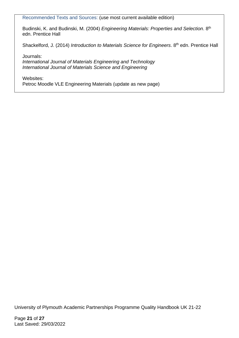Recommended Texts and Sources: (use most current available edition)

Budinski, K. and Budinski, M. (2004) *Engineering Materials: Properties and Selection*. 8th edn. Prentice Hall

Shackelford, J. (2014) *Introduction to Materials Science for Engineers*. 8<sup>th</sup> edn. Prentice Hall

Journals:

*International Journal of Materials Engineering and Technology International Journal of Materials Science and Engineering*

Websites:

Petroc Moodle VLE Engineering Materials (update as new page)

University of Plymouth Academic Partnerships Programme Quality Handbook UK 21-22

Page **21** of **27** Last Saved: 29/03/2022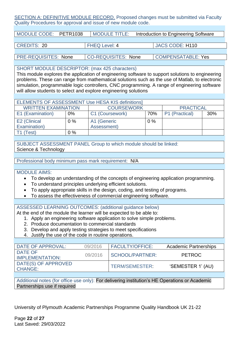#### SECTION A: DEFINITIVE MODULE RECORD. Proposed changes must be submitted via Faculty Quality Procedures for approval and issue of new module code.

| MODULE CODE: PETR1038       | <b>MODULE TITLE:</b>       | Introduction to Engineering Software |  |
|-----------------------------|----------------------------|--------------------------------------|--|
|                             |                            |                                      |  |
| <b>CREDITS: 20</b>          | <b>FHEQ Level: 4</b>       | <b>JACS CODE: H110</b>               |  |
|                             |                            |                                      |  |
| <b>PRE-REQUISITES: None</b> | <b>CO-REQUISITES: None</b> | <b>COMPENSATABLE: Yes</b>            |  |

SHORT MODULE DESCRIPTOR: (max 425 characters)

This module explores the application of engineering software to support solutions to engineering problems. These can range from mathematical solutions such as the use of Matlab, to electronic simulation, programmable logic controllers, CNC programming. A range of engineering software will allow students to select and explore engineering solutions

| <b>ELEMENTS OF ASSESSMENT Use HESA KIS definitions]</b>             |       |             |       |  |     |  |  |
|---------------------------------------------------------------------|-------|-------------|-------|--|-----|--|--|
| <b>WRITTEN EXAMINATION</b><br><b>COURSEWORK</b><br><b>PRACTICAL</b> |       |             |       |  |     |  |  |
| E1 (Examination)<br>C1 (Coursework)<br>P1 (Practical)<br>70%<br>0%  |       |             |       |  | 30% |  |  |
| E2 (Clinical                                                        | $0\%$ | A1 (Generic | $0\%$ |  |     |  |  |
| Examination)                                                        |       | Assessment) |       |  |     |  |  |
| $0\%$<br>(Test)                                                     |       |             |       |  |     |  |  |

SUBJECT ASSESSMENT PANEL Group to which module should be linked: Science & Technology

Professional body minimum pass mark requirement: N/A

#### MODULE AIMS:

- To develop an understanding of the concepts of engineering application programming.
- To understand principles underlying efficient solutions.
- To apply appropriate skills in the design, coding, and testing of programs.
- To assess the effectiveness of commercial engineering software.

ASSESSED LEARNING OUTCOMES: (additional guidance below)

At the end of the module the learner will be expected to be able to:

- 1. Apply an engineering software application to solve simple problems.
- 2. Produce documentation to commercial standards
- 3. Develop and apply testing strategies to meet specifications
- 4. Justify the use of the code in routine operations.

| DATE OF APPROVAL:                     | 09/2016 | <b>FACULTY/OFFICE:</b> | <b>Academic Partnerships</b> |
|---------------------------------------|---------|------------------------|------------------------------|
| DATE OF<br><b>IMPLEMENTATION:</b>     | 09/2016 | SCHOOL/PARTNER:        | <b>PETROC</b>                |
| DATE(S) OF APPROVED<br><b>CHANGE:</b> |         | TERM/SEMESTER:         | 'SEMESTER 1' (AU)            |

Additional notes (for office use only): For delivering institution's HE Operations or Academic Partnerships use if required

University of Plymouth Academic Partnerships Programme Quality Handbook UK 21-22

Page **22** of **27** Last Saved: 29/03/2022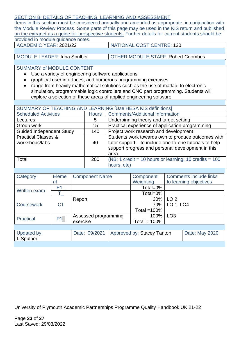#### SECTION B: DETAILS OF TEACHING, LEARNING AND ASSESSMENT

Items in this section must be considered annually and amended as appropriate, in conjunction with the Module Review Process. Some parts of this page may be used in the KIS return and published on the extranet as a guide for prospective students. Further details for current students should be provided in module guidance notes.

ACADEMIC YEAR: 2021/22 NATIONAL COST CENTRE: 120

MODULE LEADER: Irina Spulber | OTHER MODULE STAFF: Robert Coombes

SUMMARY of MODULE CONTENT

- Use a variety of engineering software applications
- graphical user interfaces, and numerous programming exercises
- range from heavily mathematical solutions such as the use of matlab, to electronic simulation, programmable logic controllers and CNC part programming. Students will explore a selection of these areas of applied engineering software

| SUMMARY OF TEACHING AND LEARNING [Use HESA KIS definitions] |              |                                                                                                                                                                             |  |  |
|-------------------------------------------------------------|--------------|-----------------------------------------------------------------------------------------------------------------------------------------------------------------------------|--|--|
|                                                             |              |                                                                                                                                                                             |  |  |
| <b>Scheduled Activities</b>                                 | <b>Hours</b> | <b>Comments/Additional Information</b>                                                                                                                                      |  |  |
| Lectures                                                    | 5            | Underpinning theory and target setting                                                                                                                                      |  |  |
| Group work                                                  | 15           | Practical experience of application programming                                                                                                                             |  |  |
| <b>Guided Independent Study</b>                             | 140          | Project work research and development                                                                                                                                       |  |  |
| <b>Practical Classes &amp;</b><br>workshops/labs            | 40           | Students work towards own to produce outcomes with<br>tutor support - to include one-to-one tutorials to help<br>support progress and personal development in this<br>area. |  |  |
| Total                                                       | 200          | (NB: 1 credit = 10 hours or learning; 10 credits = $100$<br>hours, etc)                                                                                                     |  |  |

| Category            | Eleme          | <b>Component Name</b> |  | Component                  |                 | <b>Comments include links</b> |
|---------------------|----------------|-----------------------|--|----------------------------|-----------------|-------------------------------|
|                     | nt             |                       |  | Weighting                  |                 | to learning objectives        |
| <b>Written exam</b> | E1             |                       |  | Total=0%                   |                 |                               |
|                     |                |                       |  |                            |                 |                               |
|                     |                | Report                |  | 30%                        | LO <sub>2</sub> |                               |
| <b>Coursework</b>   | C <sub>1</sub> |                       |  | 70%                        | LO 1, LO4       |                               |
|                     |                |                       |  |                            |                 |                               |
| <b>Practical</b>    | P1             | Assessed programming  |  | 100%                       | LO <sub>3</sub> |                               |
|                     |                | exercise              |  | Total = $100\%$            |                 |                               |
|                     |                |                       |  |                            |                 |                               |
| Updated by:         |                | Date: 09/2021         |  | Approved by: Stacey Tanton |                 | Date: May 2020                |
| I. Spulber          |                |                       |  |                            |                 |                               |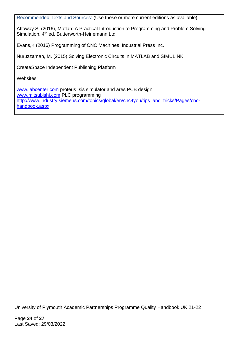Recommended Texts and Sources: (Use these or more current editions as available)

Attaway S. (2016), Matlab: A Practical Introduction to Programming and Problem Solving Simulation, 4<sup>th</sup> ed. Butterworth-Heinemann Ltd

Evans,K (2016) Programming of CNC Machines, Industrial Press Inc.

Nuruzzaman, M. (2015) Solving Electronic Circuits in MATLAB and SIMULINK,

CreateSpace Independent Publishing Platform

Websites:

[www.labcenter.com](http://www.labcenter.com/) proteus Isis simulator and ares PCB design [www.mitsubishi.com](http://www.mitsubishi.com/) PLC programming [http://www.industry.siemens.com/topics/global/en/cnc4you/tips\\_and\\_tricks/Pages/cnc](http://www.industry.siemens.com/topics/global/en/cnc4you/tips_and_tricks/Pages/cnc-handbook.aspx)[handbook.aspx](http://www.industry.siemens.com/topics/global/en/cnc4you/tips_and_tricks/Pages/cnc-handbook.aspx)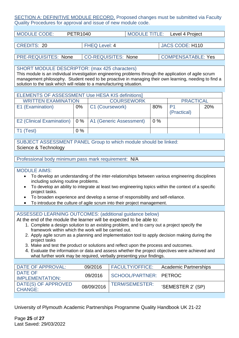SECTION A: DEFINITIVE MODULE RECORD. Proposed changes must be submitted via Faculty Quality Procedures for approval and issue of new module code.

| <b>MODULE CODE:</b><br><b>PETR1040</b> |                            | <b>MODULE TITLE:</b> | Level 4 Project           |
|----------------------------------------|----------------------------|----------------------|---------------------------|
|                                        |                            |                      |                           |
| <b>CREDITS: 20</b>                     | <b>FHEQ Level: 4</b>       |                      | <b>JACS CODE: H110</b>    |
|                                        |                            |                      |                           |
| <b>PRE-REQUISITES: None</b>            | <b>CO-REQUISITES: None</b> |                      | <b>COMPENSATABLE: Yes</b> |

SHORT MODULE DESCRIPTOR: (max 425 characters)

This module is an individual investigation engineering problems through the application of agile scrum management philosophy. Student need to be proactive in managing their own learning, needing to find a solution to the task which will relate to a manufacturing situation.

| <b>ELEMENTS OF ASSESSMENT Use HESA KIS definitions]</b>   |       |                   |       |                  |     |  |  |
|-----------------------------------------------------------|-------|-------------------|-------|------------------|-----|--|--|
| <b>WRITTEN EXAMINATION</b>                                |       | <b>COURSEWORK</b> |       | <b>PRACTICAL</b> |     |  |  |
| E1 (Examination)                                          | $0\%$ | C1 (Coursework)   | 80%   | P <sub>1</sub>   | 20% |  |  |
|                                                           |       |                   |       | (Practical)      |     |  |  |
| E2 (Clinical Examination)   0 %   A1 (Generic Assessment) |       |                   | $0\%$ |                  |     |  |  |
| Test)                                                     | $0\%$ |                   |       |                  |     |  |  |

SUBJECT ASSESSMENT PANEL Group to which module should be linked: Science & Technology

Professional body minimum pass mark requirement: N/A

#### MODULE AIMS:

- To develop an understanding of the inter-relationships between various engineering disciplines including solving routine problems.
- To develop an ability to integrate at least two engineering topics within the context of a specific project tasks.
- To broaden experience and develop a sense of responsibility and self-reliance.
- To introduce the culture of agile scrum into their project management.

#### ASSESSED LEARNING OUTCOMES: (additional guidance below)

At the end of the module the learner will be expected to be able to:

- 1. Complete a design solution to an existing problem, and to carry out a project specify the framework within which the work will be carried out.
- 2. Apply agile scrum as a planning and implementation tool to apply decision making during the project tasks
- 3. Make and test the product or solutions and reflect upon the process and outcomes.
- 4. Evaluate the information or data and assess whether the project objectives were achieved and what further work may be required, verbally presenting your findings.

| DATE OF APPROVAL:                     | 09/2016    | <b>FACULTY/OFFICE:</b> | <b>Academic Partnerships</b> |
|---------------------------------------|------------|------------------------|------------------------------|
| DATE OF<br>IMPLEMENTATION:            | 09/2016    | SCHOOL/PARTNER: PETROC |                              |
| DATE(S) OF APPROVED<br><b>CHANGE:</b> | 08/09/2016 | <b>TERM/SEMESTER:</b>  | 'SEMESTER 2' (SP)            |

University of Plymouth Academic Partnerships Programme Quality Handbook UK 21-22

Page **25** of **27** Last Saved: 29/03/2022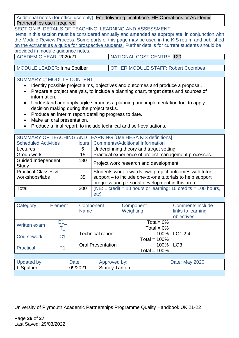Additional notes (for office use only): For delivering institution's HE Operations or Academic Partnerships use if required

SECTION B: DETAILS OF TEACHING, LEARNING AND ASSESSMENT

Items in this section must be considered annually and amended as appropriate, in conjunction with the Module Review Process. Some parts of this page may be used in the KIS return and published on the extranet as a guide for prospective students. Further details for current students should be provided in module guidance notes.

ACADEMIC YEAR: 2020/21 NATIONAL COST CENTRE: 120

MODULE LEADER: Irina Spulber | OTHER MODULE STAFF: Robert Coombes

### SUMMARY of MODULE CONTENT

- Identify possible project aims, objectives and outcomes and produce a proposal.
- Prepare a project analysis, to include a planning chart, target dates and sources of information.
- Understand and apply agile scrum as a planning and implementation tool to apply decision making during the project tasks.
- Produce an interim report detailing progress to date.
- Make an oral presentation.
- Produce a final report, to include technical and self-evaluations.

| SUMMARY OF TEACHING AND LEARNING [Use HESA KIS definitions] |     |                                                                                                                                                                       |  |  |  |
|-------------------------------------------------------------|-----|-----------------------------------------------------------------------------------------------------------------------------------------------------------------------|--|--|--|
| <b>Scheduled Activities</b>                                 |     | Hours   Comments/Additional Information                                                                                                                               |  |  |  |
| Lectures                                                    | 5   | Underpinning theory and target setting                                                                                                                                |  |  |  |
| Group work                                                  | 15  | Practical experience of project management processes.                                                                                                                 |  |  |  |
| <b>Guided Independent</b><br>Study                          | 130 | Project work research and development                                                                                                                                 |  |  |  |
| <b>Practical Classes &amp;</b><br>workshops/labs            | 35  | Students work towards own project outcomes with tutor<br>support - to include one-to-one tutorials to help support<br>progress and personal development in this area. |  |  |  |
| Total                                                       | 200 | (NB: 1 credit = 10 hours or learning; 10 credits = 100 hours,<br>etc)                                                                                                 |  |  |  |

| Category            | <b>Element</b> | Component<br><b>Name</b>        |                          | Component<br>Weighting | <b>Comments include</b><br>links to learning<br>objectives |
|---------------------|----------------|---------------------------------|--------------------------|------------------------|------------------------------------------------------------|
| <b>Written exam</b> | E1.            |                                 |                          | Total= $0\%$           |                                                            |
|                     |                |                                 |                          | Total = $0\%$          |                                                            |
| <b>Coursework</b>   | C <sub>1</sub> | <b>Technical report</b>         |                          | 100%                   | LO1,2,4                                                    |
|                     |                |                                 |                          | Total = $100\%$        |                                                            |
| <b>Practical</b>    | P <sub>1</sub> |                                 | <b>Oral Presentation</b> | 100%                   | LO <sub>3</sub>                                            |
|                     |                |                                 |                          | Total = $100\%$        |                                                            |
|                     |                |                                 |                          |                        |                                                            |
| Updated by:         |                | Date:                           | Approved by:             |                        | Date: May 2020                                             |
| I. Spulber          |                | <b>Stacey Tanton</b><br>09/2021 |                          |                        |                                                            |